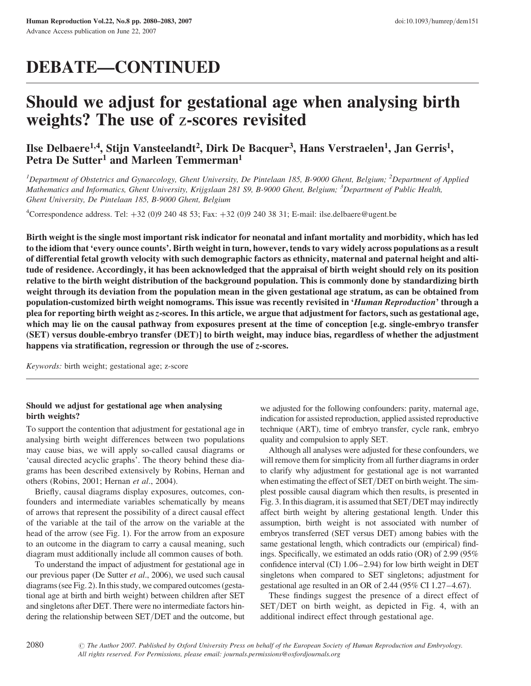# DEBATE—CONTINUED

## Should we adjust for gestational age when analysing birth weights? The use of z-scores revisited

### Ilse Delbaere<sup>1,4</sup>, Stijn Vansteelandt<sup>2</sup>, Dirk De Bacquer<sup>3</sup>, Hans Verstraelen<sup>1</sup>, Jan Gerris<sup>1</sup>, Petra De Sutter<sup>1</sup> and Marleen Temmerman<sup>1</sup>

<sup>1</sup>Department of Obstetrics and Gynaecology, Ghent University, De Pintelaan 185, B-9000 Ghent, Belgium; <sup>2</sup>Department of Applied Mathematics and Informatics, Ghent University, Krijgslaan 281 S9, B-9000 Ghent, Belgium; <sup>3</sup>Department of Public Health, Ghent University, De Pintelaan 185, B-9000 Ghent, Belgium

<sup>4</sup>Correspondence address. Tel:  $+32$  (0)9 240 48 53; Fax:  $+32$  (0)9 240 38 31; E-mail: ilse.delbaere@ugent.be

Birth weight is the single most important risk indicator for neonatal and infant mortality and morbidity, which has led to the idiom that 'every ounce counts'. Birth weight in turn, however, tends to vary widely across populations as a result of differential fetal growth velocity with such demographic factors as ethnicity, maternal and paternal height and altitude of residence. Accordingly, it has been acknowledged that the appraisal of birth weight should rely on its position relative to the birth weight distribution of the background population. This is commonly done by standardizing birth weight through its deviation from the population mean in the given gestational age stratum, as can be obtained from population-customized birth weight nomograms. This issue was recently revisited in 'Human Reproduction' through a plea for reporting birth weight as z-scores. In this article, we argue that adjustment for factors, such as gestational age, which may lie on the causal pathway from exposures present at the time of conception [e.g. single-embryo transfer (SET) versus double-embryo transfer (DET)] to birth weight, may induce bias, regardless of whether the adjustment happens via stratification, regression or through the use of z-scores.

Keywords: birth weight; gestational age; z-score

#### Should we adjust for gestational age when analysing birth weights?

To support the contention that adjustment for gestational age in analysing birth weight differences between two populations may cause bias, we will apply so-called causal diagrams or 'causal directed acyclic graphs'. The theory behind these diagrams has been described extensively by Robins, Hernan and others (Robins, 2001; Hernan et al., 2004).

Briefly, causal diagrams display exposures, outcomes, confounders and intermediate variables schematically by means of arrows that represent the possibility of a direct causal effect of the variable at the tail of the arrow on the variable at the head of the arrow (see Fig. 1). For the arrow from an exposure to an outcome in the diagram to carry a causal meaning, such diagram must additionally include all common causes of both.

To understand the impact of adjustment for gestational age in our previous paper (De Sutter *et al.*, 2006), we used such causal diagrams (see Fig. 2). In this study, we compared outcomes (gestational age at birth and birth weight) between children after SET and singletons after DET. There were no intermediate factors hindering the relationship between SET/DET and the outcome, but we adjusted for the following confounders: parity, maternal age, indication for assisted reproduction, applied assisted reproductive technique (ART), time of embryo transfer, cycle rank, embryo quality and compulsion to apply SET.

Although all analyses were adjusted for these confounders, we will remove them for simplicity from all further diagrams in order to clarify why adjustment for gestational age is not warranted when estimating the effect of SET/DET on birth weight. The simplest possible causal diagram which then results, is presented in Fig. 3. In this diagram, it is assumed that SET/DET may indirectly affect birth weight by altering gestational length. Under this assumption, birth weight is not associated with number of embryos transferred (SET versus DET) among babies with the same gestational length, which contradicts our (empirical) findings. Specifically, we estimated an odds ratio (OR) of 2.99 (95% confidence interval (CI) 1.06–2.94) for low birth weight in DET singletons when compared to SET singletons; adjustment for gestational age resulted in an OR of 2.44 (95% CI 1.27–4.67).

These findings suggest the presence of a direct effect of SET/DET on birth weight, as depicted in Fig. 4, with an additional indirect effect through gestational age.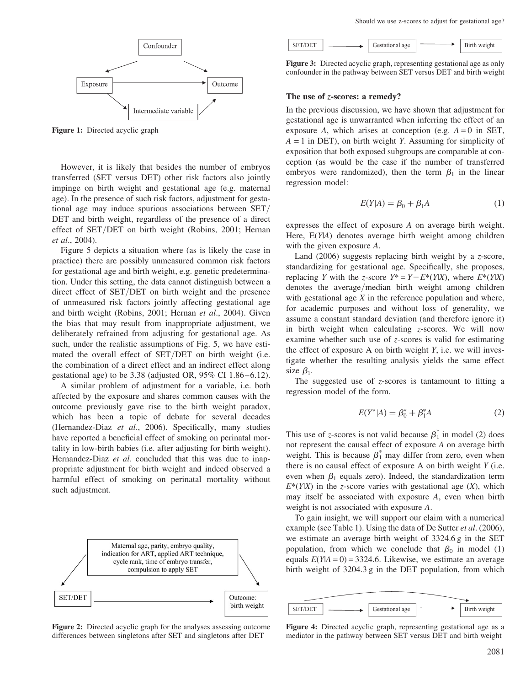

Figure 1: Directed acyclic graph

However, it is likely that besides the number of embryos transferred (SET versus DET) other risk factors also jointly impinge on birth weight and gestational age (e.g. maternal age). In the presence of such risk factors, adjustment for gestational age may induce spurious associations between SET/ DET and birth weight, regardless of the presence of a direct effect of SET/DET on birth weight (Robins, 2001; Hernan et al., 2004).

Figure 5 depicts a situation where (as is likely the case in practice) there are possibly unmeasured common risk factors for gestational age and birth weight, e.g. genetic predetermination. Under this setting, the data cannot distinguish between a direct effect of SET/DET on birth weight and the presence of unmeasured risk factors jointly affecting gestational age and birth weight (Robins, 2001; Hernan et al., 2004). Given the bias that may result from inappropriate adjustment, we deliberately refrained from adjusting for gestational age. As such, under the realistic assumptions of Fig. 5, we have estimated the overall effect of SET/DET on birth weight (i.e. the combination of a direct effect and an indirect effect along gestational age) to be 3.38 (adjusted OR, 95% CI 1.86–6.12).

A similar problem of adjustment for a variable, i.e. both affected by the exposure and shares common causes with the outcome previously gave rise to the birth weight paradox, which has been a topic of debate for several decades (Hernandez-Diaz et al., 2006). Specifically, many studies have reported a beneficial effect of smoking on perinatal mortality in low-birth babies (i.e. after adjusting for birth weight). Hernandez-Diaz et al. concluded that this was due to inappropriate adjustment for birth weight and indeed observed a harmful effect of smoking on perinatal mortality without such adjustment.



Figure 2: Directed acyclic graph for the analyses assessing outcome differences between singletons after SET and singletons after DET



Figure 3: Directed acyclic graph, representing gestational age as only confounder in the pathway between SET versus DET and birth weight

#### The use of z-scores: a remedy?

In the previous discussion, we have shown that adjustment for gestational age is unwarranted when inferring the effect of an exposure A, which arises at conception (e.g.  $A = 0$  in SET,  $A = 1$  in DET), on birth weight Y. Assuming for simplicity of exposition that both exposed subgroups are comparable at conception (as would be the case if the number of transferred embryos were randomized), then the term  $\beta_1$  in the linear regression model:

$$
E(Y|A) = \beta_0 + \beta_1 A \tag{1}
$$

expresses the effect of exposure A on average birth weight. Here,  $E(Y|A)$  denotes average birth weight among children with the given exposure A.

Land (2006) suggests replacing birth weight by a z-score, standardizing for gestational age. Specifically, she proposes, replacing Y with the z-score  $Y^* = Y - E^*(Y|X)$ , where  $E^*(Y|X)$ denotes the average/median birth weight among children with gestational age  $X$  in the reference population and where, for academic purposes and without loss of generality, we assume a constant standard deviation (and therefore ignore it) in birth weight when calculating z-scores. We will now examine whether such use of z-scores is valid for estimating the effect of exposure A on birth weight  $Y$ , i.e. we will investigate whether the resulting analysis yields the same effect size  $\beta_1$ .

The suggested use of  $z$ -scores is tantamount to fitting a regression model of the form.

$$
E(Y^*|A) = \beta_0^* + \beta_1^*A \tag{2}
$$

This use of *z*-scores is not valid because  $\beta_1^*$  in model (2) does not represent the causal effect of exposure A on average birth weight. This is because  $\beta_1^*$  may differ from zero, even when there is no causal effect of exposure A on birth weight  $Y$  (i.e. even when  $\beta_1$  equals zero). Indeed, the standardization term  $E^*(Y|X)$  in the z-score varies with gestational age  $(X)$ , which may itself be associated with exposure A, even when birth weight is not associated with exposure A.

To gain insight, we will support our claim with a numerical example (see Table 1). Using the data of De Sutter et al. (2006), we estimate an average birth weight of 3324.6 g in the SET population, from which we conclude that  $\beta_0$  in model (1) equals  $E(Y|A = 0) = 3324.6$ . Likewise, we estimate an average birth weight of 3204.3 g in the DET population, from which



Figure 4: Directed acyclic graph, representing gestational age as a mediator in the pathway between SET versus DET and birth weight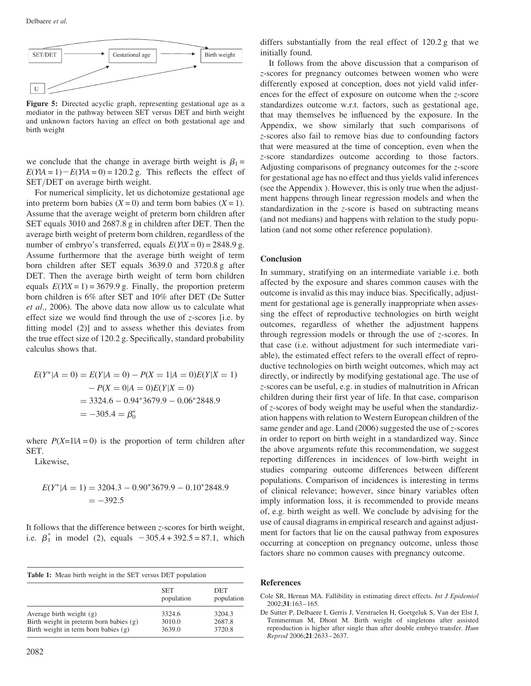

Figure 5: Directed acyclic graph, representing gestational age as a mediator in the pathway between SET versus DET and birth weight and unknown factors having an effect on both gestational age and birth weight

we conclude that the change in average birth weight is  $\beta_1 =$  $E(Y|A = 1) - E(Y|A = 0) = 120.2$  g. This reflects the effect of SET/DET on average birth weight.

For numerical simplicity, let us dichotomize gestational age into preterm born babies  $(X = 0)$  and term born babies  $(X = 1)$ . Assume that the average weight of preterm born children after SET equals 3010 and 2687.8 g in children after DET. Then the average birth weight of preterm born children, regardless of the number of embryo's transferred, equals  $E(Y|X = 0) = 2848.9$  g. Assume furthermore that the average birth weight of term born children after SET equals 3639.0 and 3720.8 g after DET. Then the average birth weight of term born children equals  $E(Y|X = 1) = 3679.9$  g. Finally, the proportion preterm born children is 6% after SET and 10% after DET (De Sutter et al., 2006). The above data now allow us to calculate what effect size we would find through the use of z-scores [i.e. by fitting model (2)] and to assess whether this deviates from the true effect size of 120.2 g. Specifically, standard probability calculus shows that.

$$
E(Y^*|A=0) = E(Y|A=0) - P(X=1|A=0)E(Y|X=1)
$$
  
- P(X = 0|A = 0)E(Y|X = 0)  
= 3324.6 - 0.94\*3679.9 - 0.06\*2848.9  
= -305.4 =  $\beta_0^*$ 

where  $P(X=1|A=0)$  is the proportion of term children after SET.

Likewise,

$$
E(Y^*|A=1) = 3204.3 - 0.90^*3679.9 - 0.10^*2848.9
$$
  
= -392.5

It follows that the difference between z-scores for birth weight, i.e.  $\beta_1^*$  in model (2), equals  $-305.4 + 392.5 = 87.1$ , which

| <b>Table 1:</b> Mean birth weight in the SET versus DET population                                              |                            |                            |
|-----------------------------------------------------------------------------------------------------------------|----------------------------|----------------------------|
|                                                                                                                 | <b>SET</b><br>population   | DET<br>population          |
| Average birth weight $(g)$<br>Birth weight in preterm born babies (g)<br>Birth weight in term born babies $(g)$ | 3324.6<br>3010.0<br>3639.0 | 3204.3<br>2687.8<br>3720.8 |

differs substantially from the real effect of 120.2 g that we initially found.

It follows from the above discussion that a comparison of z-scores for pregnancy outcomes between women who were differently exposed at conception, does not yield valid inferences for the effect of exposure on outcome when the z-score standardizes outcome w.r.t. factors, such as gestational age, that may themselves be influenced by the exposure. In the Appendix, we show similarly that such comparisons of z-scores also fail to remove bias due to confounding factors that were measured at the time of conception, even when the z-score standardizes outcome according to those factors. Adjusting comparisons of pregnancy outcomes for the z-score for gestational age has no effect and thus yields valid inferences (see the Appendix ). However, this is only true when the adjustment happens through linear regression models and when the standardization in the z-score is based on subtracting means (and not medians) and happens with relation to the study population (and not some other reference population).

#### **Conclusion**

In summary, stratifying on an intermediate variable i.e. both affected by the exposure and shares common causes with the outcome is invalid as this may induce bias. Specifically, adjustment for gestational age is generally inappropriate when assessing the effect of reproductive technologies on birth weight outcomes, regardless of whether the adjustment happens through regression models or through the use of z-scores. In that case (i.e. without adjustment for such intermediate variable), the estimated effect refers to the overall effect of reproductive technologies on birth weight outcomes, which may act directly, or indirectly by modifying gestational age. The use of z-scores can be useful, e.g. in studies of malnutrition in African children during their first year of life. In that case, comparison of z-scores of body weight may be useful when the standardization happens with relation to Western European children of the same gender and age. Land (2006) suggested the use of z-scores in order to report on birth weight in a standardized way. Since the above arguments refute this recommendation, we suggest reporting differences in incidences of low-birth weight in studies comparing outcome differences between different populations. Comparison of incidences is interesting in terms of clinical relevance; however, since binary variables often imply information loss, it is recommended to provide means of, e.g. birth weight as well. We conclude by advising for the use of causal diagrams in empirical research and against adjustment for factors that lie on the causal pathway from exposures occurring at conception on pregnancy outcome, unless those factors share no common causes with pregnancy outcome.

#### References

Cole SR, Hernan MA. Fallibility in estimating direct effects. Int J Epidemiol 2002;31:163–165.

De Sutter P, Delbaere I, Gerris J, Verstraelen H, Goetgeluk S, Van der Elst J, Temmerman M, Dhont M. Birth weight of singletons after assisted reproduction is higher after single than after double embryo transfer. Hum Reprod 2006;21:2633–2637.